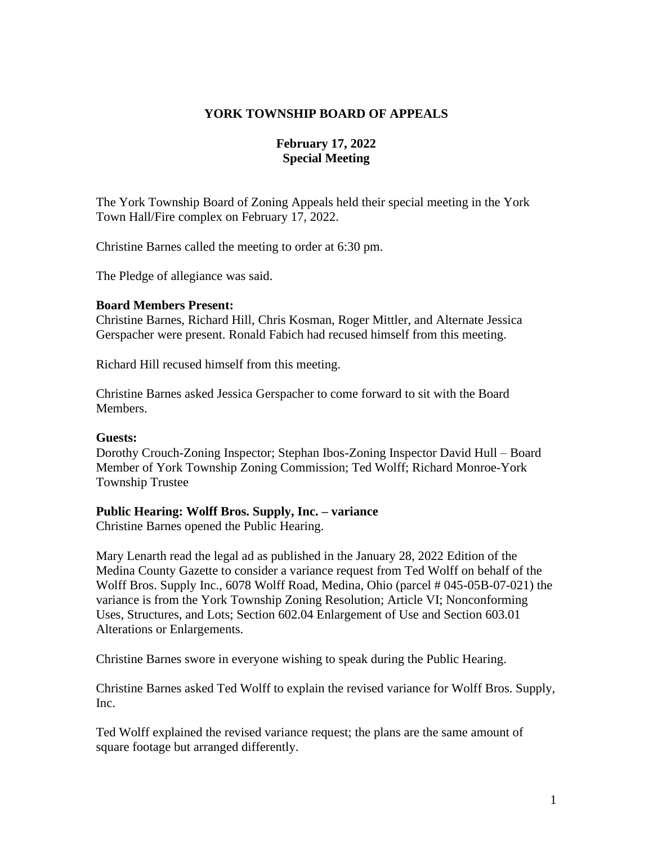## **YORK TOWNSHIP BOARD OF APPEALS**

## **February 17, 2022 Special Meeting**

The York Township Board of Zoning Appeals held their special meeting in the York Town Hall/Fire complex on February 17, 2022.

Christine Barnes called the meeting to order at 6:30 pm.

The Pledge of allegiance was said.

#### **Board Members Present:**

Christine Barnes, Richard Hill, Chris Kosman, Roger Mittler, and Alternate Jessica Gerspacher were present. Ronald Fabich had recused himself from this meeting.

Richard Hill recused himself from this meeting.

Christine Barnes asked Jessica Gerspacher to come forward to sit with the Board Members.

#### **Guests:**

Dorothy Crouch-Zoning Inspector; Stephan Ibos-Zoning Inspector David Hull – Board Member of York Township Zoning Commission; Ted Wolff; Richard Monroe-York Township Trustee

#### **Public Hearing: Wolff Bros. Supply, Inc. – variance**

Christine Barnes opened the Public Hearing.

Mary Lenarth read the legal ad as published in the January 28, 2022 Edition of the Medina County Gazette to consider a variance request from Ted Wolff on behalf of the Wolff Bros. Supply Inc., 6078 Wolff Road, Medina, Ohio (parcel # 045-05B-07-021) the variance is from the York Township Zoning Resolution; Article VI; Nonconforming Uses, Structures, and Lots; Section 602.04 Enlargement of Use and Section 603.01 Alterations or Enlargements.

Christine Barnes swore in everyone wishing to speak during the Public Hearing.

Christine Barnes asked Ted Wolff to explain the revised variance for Wolff Bros. Supply, Inc.

Ted Wolff explained the revised variance request; the plans are the same amount of square footage but arranged differently.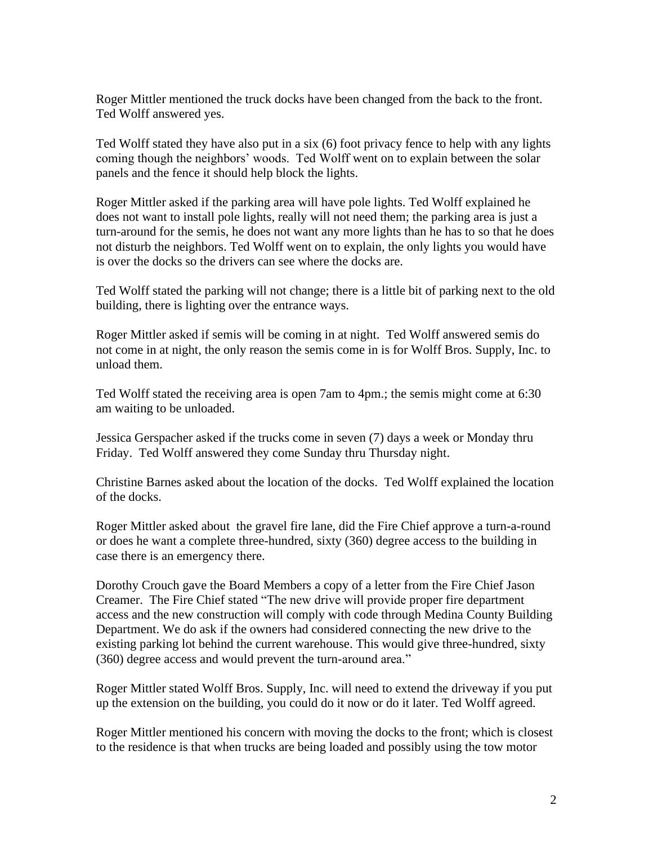Roger Mittler mentioned the truck docks have been changed from the back to the front. Ted Wolff answered yes.

Ted Wolff stated they have also put in a six (6) foot privacy fence to help with any lights coming though the neighbors' woods. Ted Wolff went on to explain between the solar panels and the fence it should help block the lights.

Roger Mittler asked if the parking area will have pole lights. Ted Wolff explained he does not want to install pole lights, really will not need them; the parking area is just a turn-around for the semis, he does not want any more lights than he has to so that he does not disturb the neighbors. Ted Wolff went on to explain, the only lights you would have is over the docks so the drivers can see where the docks are.

Ted Wolff stated the parking will not change; there is a little bit of parking next to the old building, there is lighting over the entrance ways.

Roger Mittler asked if semis will be coming in at night. Ted Wolff answered semis do not come in at night, the only reason the semis come in is for Wolff Bros. Supply, Inc. to unload them.

Ted Wolff stated the receiving area is open 7am to 4pm.; the semis might come at 6:30 am waiting to be unloaded.

Jessica Gerspacher asked if the trucks come in seven (7) days a week or Monday thru Friday. Ted Wolff answered they come Sunday thru Thursday night.

Christine Barnes asked about the location of the docks. Ted Wolff explained the location of the docks.

Roger Mittler asked about the gravel fire lane, did the Fire Chief approve a turn-a-round or does he want a complete three-hundred, sixty (360) degree access to the building in case there is an emergency there.

Dorothy Crouch gave the Board Members a copy of a letter from the Fire Chief Jason Creamer. The Fire Chief stated "The new drive will provide proper fire department access and the new construction will comply with code through Medina County Building Department. We do ask if the owners had considered connecting the new drive to the existing parking lot behind the current warehouse. This would give three-hundred, sixty (360) degree access and would prevent the turn-around area."

Roger Mittler stated Wolff Bros. Supply, Inc. will need to extend the driveway if you put up the extension on the building, you could do it now or do it later. Ted Wolff agreed.

Roger Mittler mentioned his concern with moving the docks to the front; which is closest to the residence is that when trucks are being loaded and possibly using the tow motor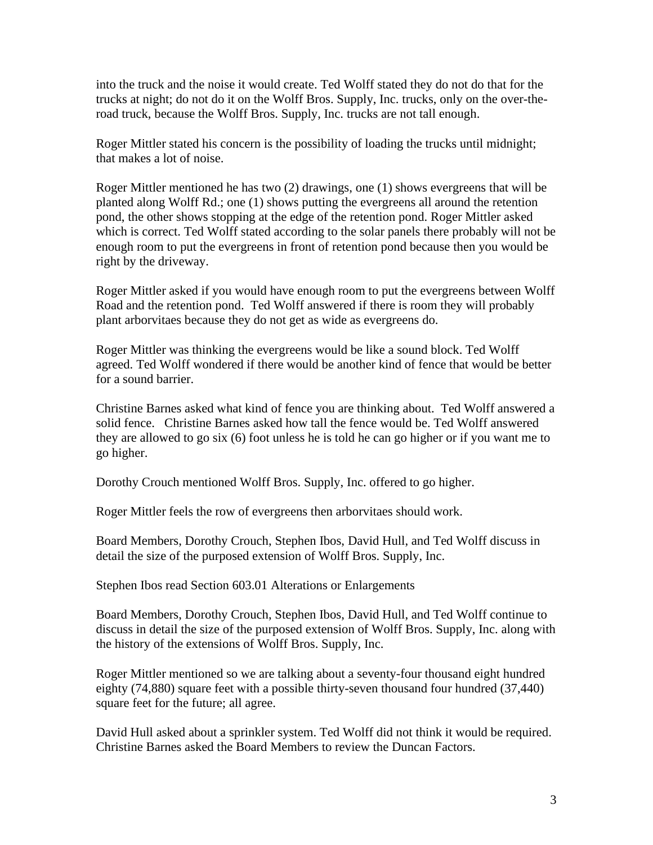into the truck and the noise it would create. Ted Wolff stated they do not do that for the trucks at night; do not do it on the Wolff Bros. Supply, Inc. trucks, only on the over-theroad truck, because the Wolff Bros. Supply, Inc. trucks are not tall enough.

Roger Mittler stated his concern is the possibility of loading the trucks until midnight; that makes a lot of noise.

Roger Mittler mentioned he has two (2) drawings, one (1) shows evergreens that will be planted along Wolff Rd.; one (1) shows putting the evergreens all around the retention pond, the other shows stopping at the edge of the retention pond. Roger Mittler asked which is correct. Ted Wolff stated according to the solar panels there probably will not be enough room to put the evergreens in front of retention pond because then you would be right by the driveway.

Roger Mittler asked if you would have enough room to put the evergreens between Wolff Road and the retention pond. Ted Wolff answered if there is room they will probably plant arborvitaes because they do not get as wide as evergreens do.

Roger Mittler was thinking the evergreens would be like a sound block. Ted Wolff agreed. Ted Wolff wondered if there would be another kind of fence that would be better for a sound barrier.

Christine Barnes asked what kind of fence you are thinking about. Ted Wolff answered a solid fence. Christine Barnes asked how tall the fence would be. Ted Wolff answered they are allowed to go six (6) foot unless he is told he can go higher or if you want me to go higher.

Dorothy Crouch mentioned Wolff Bros. Supply, Inc. offered to go higher.

Roger Mittler feels the row of evergreens then arborvitaes should work.

Board Members, Dorothy Crouch, Stephen Ibos, David Hull, and Ted Wolff discuss in detail the size of the purposed extension of Wolff Bros. Supply, Inc.

Stephen Ibos read Section 603.01 Alterations or Enlargements

Board Members, Dorothy Crouch, Stephen Ibos, David Hull, and Ted Wolff continue to discuss in detail the size of the purposed extension of Wolff Bros. Supply, Inc. along with the history of the extensions of Wolff Bros. Supply, Inc.

Roger Mittler mentioned so we are talking about a seventy-four thousand eight hundred eighty (74,880) square feet with a possible thirty-seven thousand four hundred (37,440) square feet for the future; all agree.

David Hull asked about a sprinkler system. Ted Wolff did not think it would be required. Christine Barnes asked the Board Members to review the Duncan Factors.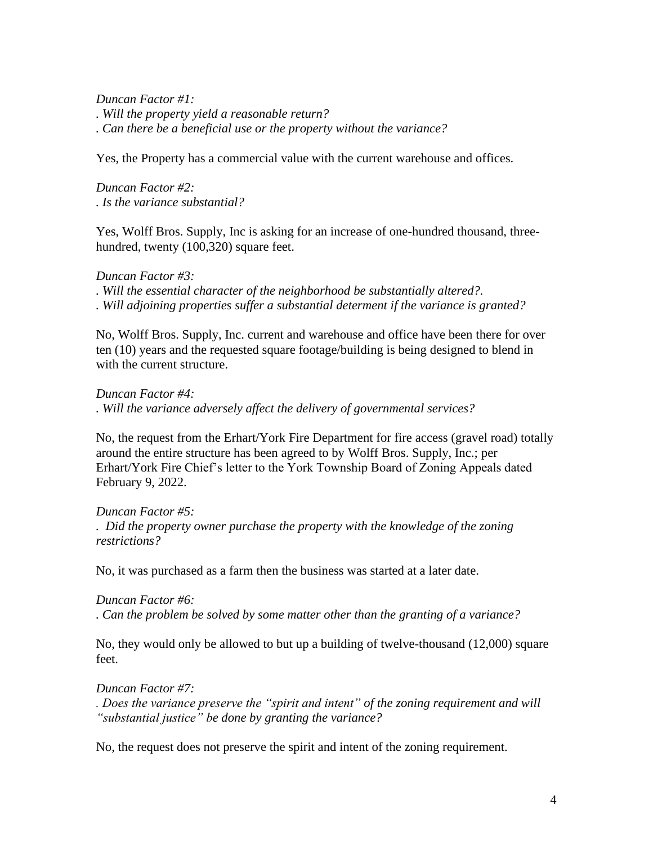*Duncan Factor #1:* 

*. Will the property yield a reasonable return?*

*. Can there be a beneficial use or the property without the variance?*

Yes, the Property has a commercial value with the current warehouse and offices.

*Duncan Factor #2: . Is the variance substantial?*

Yes, Wolff Bros. Supply, Inc is asking for an increase of one-hundred thousand, threehundred, twenty (100,320) square feet.

## *Duncan Factor #3:*

*. Will the essential character of the neighborhood be substantially altered?. . Will adjoining properties suffer a substantial determent if the variance is granted?*

No, Wolff Bros. Supply, Inc. current and warehouse and office have been there for over ten (10) years and the requested square footage/building is being designed to blend in with the current structure.

*Duncan Factor #4: . Will the variance adversely affect the delivery of governmental services?*

No, the request from the Erhart/York Fire Department for fire access (gravel road) totally around the entire structure has been agreed to by Wolff Bros. Supply, Inc.; per Erhart/York Fire Chief's letter to the York Township Board of Zoning Appeals dated February 9, 2022.

*Duncan Factor #5: . Did the property owner purchase the property with the knowledge of the zoning restrictions?* 

No, it was purchased as a farm then the business was started at a later date.

*Duncan Factor #6: . Can the problem be solved by some matter other than the granting of a variance?*

No, they would only be allowed to but up a building of twelve-thousand (12,000) square feet.

# *Duncan Factor #7:*

*. Does the variance preserve the "spirit and intent" of the zoning requirement and will "substantial justice" be done by granting the variance?*

No, the request does not preserve the spirit and intent of the zoning requirement.